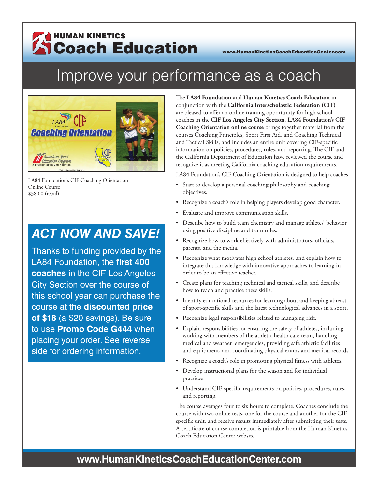## HUMAN KINETICS Coach Education www.HumanKineticsCoachEducationCenter.com

# Improve your performance as a coach



LA84 Foundation's CIF Coaching Orientation Online Course \$38.00 (retail)

# *ACT NOW AND SAVE!*

Thanks to funding provided by the LA84 Foundation, the **first 400 coaches** in the CIF Los Angeles City Section over the course of this school year can purchase the course at the **discounted price of \$18** (a \$20 savings). Be sure to use **Promo Code G444** when placing your order. See reverse side for ordering information.

The **LA84 Foundation** and **Human Kinetics Coach Education** in conjunction with the **California Interscholastic Federation (CIF)** are pleased to offer an online training opportunity for high school coaches in the **CIF Los Angeles City Section**. **LA84 Foundation's CIF Coaching Orientation online course** brings together material from the courses Coaching Principles, Sport First Aid, and Coaching Technical and Tactical Skills, and includes an entire unit covering CIF-specific information on policies, procedures, rules, and reporting. The CIF and the California Department of Education have reviewed the course and recognize it as meeting California coaching education requirements.

LA84 Foundation's CIF Coaching Orientation is designed to help coaches

- Start to develop a personal coaching philosophy and coaching objectives.
- Recognize a coach's role in helping players develop good character.
- Evaluate and improve communication skills.
- Describe how to build team chemistry and manage athletes' behavior using positive discipline and team rules.
- Recognize how to work effectively with administrators, officials, parents, and the media.
- Recognize what motivates high school athletes, and explain how to integrate this knowledge with innovative approaches to learning in order to be an effective teacher.
- Create plans for teaching technical and tactical skills, and describe how to teach and practice these skills.
- Identify educational resources for learning about and keeping abreast of sport-specific skills and the latest technological advances in a sport.
- Recognize legal responsibilities related to managing risk.
- Explain responsibilities for ensuring the safety of athletes, including working with members of the athletic health care team, handling medical and weather emergencies, providing safe athletic facilities and equipment, and coordinating physical exams and medical records.
- Recognize a coach's role in promoting physical fitness with athletes.
- Develop instructional plans for the season and for individual practices.
- Understand CIF-specific requirements on policies, procedures, rules, and reporting.

The course averages four to six hours to complete. Coaches conclude the course with two online tests, one for the course and another for the CIFspecific unit, and receive results immediately after submitting their tests. A certificate of course completion is printable from the Human Kinetics Coach Education Center website.

#### **www.HumanKineticsCoachEducationCenter.com**